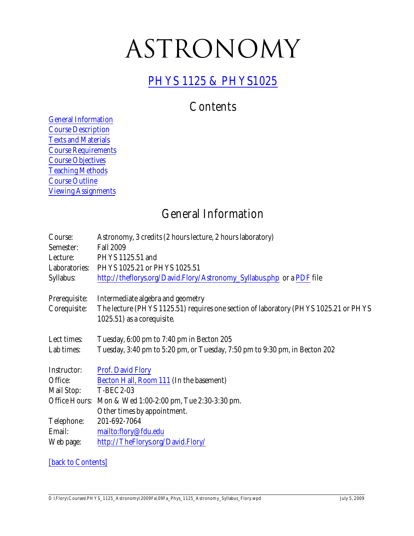# <span id="page-0-1"></span>ASTRONOMY

#### PHYS 1125 & [PHYS1025](http://theflorys.org/David.Flory/Astronomy.php)

## **Contents**

[General Information](#page-0-0) [Course Description](#page-1-0) [Texts and Materials](#page-1-1) [Course Requirements](#page-2-0) [Course Objectives](#page-3-0) [Teaching Methods](#page-4-0) [Course Outline](#page-5-0) [Viewing Assignments](#page-6-0)

### <span id="page-0-0"></span>General Information

| Course:       | Astronomy, 3 credits (2 hours lecture, 2 hours laboratory)                          |
|---------------|-------------------------------------------------------------------------------------|
| Semester:     | <b>Fall 2009</b>                                                                    |
| Lecture:      | PHYS 1125.51 and                                                                    |
| Laboratories: | PHYS 1025.21 or PHYS 1025.51                                                        |
| Syllabus:     | http://theflorys.org/David.Flory/Astronomy_Syllabus.php or a PDF file               |
| Prerequisite: | Intermediate algebra and geometry                                                   |
| Corequisite:  | The lecture (PHYS 1125.51) requires one section of laboratory (PHYS 1025.21 or PHYS |
|               | 1025.51) as a corequisite.                                                          |
| Lect times:   | Tuesday, 6:00 pm to 7:40 pm in Becton 205                                           |
| Lab times:    | Tuesday, 3:40 pm to 5:20 pm, or Tuesday, 7:50 pm to 9:30 pm, in Becton 202          |
| Instructor:   | <b>Prof. David Flory</b>                                                            |
| Office:       | Becton Hall, Room 111 (In the basement)                                             |
| Mail Stop:    | <b>T-BEC2-03</b>                                                                    |
|               | Office Hours: Mon & Wed 1:00-2:00 pm, Tue 2:30-3:30 pm.                             |
|               | Other times by appointment.                                                         |
| Telephone:    | 201-692-7064                                                                        |
| Email:        | mailto:flory@fdu.edu                                                                |
| Web page:     | http://TheFlorys.org/David.Flory/                                                   |

#### [\[back to Contents\]](#page-0-1)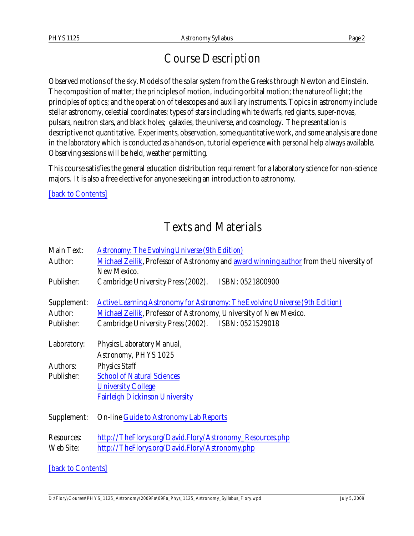## <span id="page-1-0"></span>Course Description

Observed motions of the sky. Models of the solar system from the Greeks through Newton and Einstein. The composition of matter; the principles of motion, including orbital motion; the nature of light; the principles of optics; and the operation of telescopes and auxiliary instruments. Topics in astronomy include stellar astronomy, celestial coordinates; types of stars including white dwarfs, red giants, super-novas, pulsars, neutron stars, and black holes; galaxies, the universe, and cosmology. The presentation is descriptive not quantitative. Experiments, observation, some quantitative work, and some analysis are done in the laboratory which is conducted as a hands-on, tutorial experience with personal help always available. Observing sessions will be held, weather permitting.

This course satisfies the general education distribution requirement for a laboratory science for non-science majors. It is also a free elective for anyone seeking an introduction to astronomy.

[\[back to Contents\]](#page-0-1)

# <span id="page-1-1"></span>Texts and Materials

| <b>Main Text:</b> | <b>Astronomy: The Evolving Universe (9th Edition)</b>                                  |
|-------------------|----------------------------------------------------------------------------------------|
| Author:           | Michael Zeilik, Professor of Astronomy and award winning author from the University of |
|                   | New Mexico.                                                                            |
| Publisher:        | Cambridge University Press (2002). ISBN: 0521800900                                    |
|                   |                                                                                        |
| Supplement:       | <b>Active Learning Astronomy for Astronomy: The Evolving Universe (9th Edition)</b>    |
| Author:           | Michael Zeilik, Professor of Astronomy, University of New Mexico.                      |
| Publisher:        | Cambridge University Press (2002). ISBN: 0521529018                                    |
|                   |                                                                                        |
| Laboratory:       | Physics Laboratory Manual,                                                             |
|                   | Astronomy, PHYS 1025                                                                   |
| <b>Authors:</b>   | <b>Physics Staff</b>                                                                   |
| Publisher:        | <b>School of Natural Sciences</b>                                                      |
|                   | <b>University College</b>                                                              |
|                   | <b>Fairleigh Dickinson University</b>                                                  |
|                   |                                                                                        |
| Supplement:       | <b>On-line Guide to Astronomy Lab Reports</b>                                          |
| <b>Resources:</b> | http://TheFlorys.org/David.Flory/Astronomy_Resources.php                               |
| Web Site:         | http://TheFlorys.org/David.Flory/Astronomy.php                                         |
|                   |                                                                                        |
|                   |                                                                                        |

[\[back to Contents\]](#page-0-1)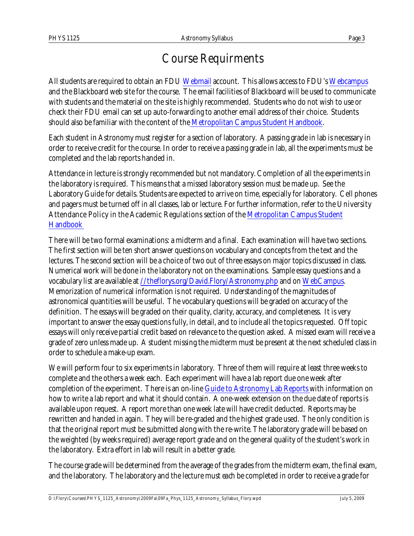### <span id="page-2-0"></span>Course Requirments

All students are required to obtain an FDU [Webmail](https://webmail.fdu.edu/) account. This allows access to FDU's [Webcampus](http://webcampus.fdu.edu/webapps/login?new_loc=%2Fwebapps%2Fportal%2Fframeset.jsp) and the Blackboard web site for the course. The email facilities of Blackboard will be used to communicate with students and the material on the site is highly recommended. Students who do not wish to use or check their FDU email can set up auto-forwarding to another email address of their choice. Students should also be familiar with the content of the [Metropolitan Campus Student Handbook](http://view.fdu.edu/default.aspx?id=6122).

Each student in Astronomy must register for a section of laboratory. A passing grade in lab is necessary in order to receive credit for the course. In order to receive a passing grade in lab, all the experiments must be completed and the lab reports handed in.

Attendance in lecture is strongly recommended but not mandatory. Completion of all the experiments in the laboratory is required. This means that a missed laboratory session must be made up. See the Laboratory Guide for details. Students are expected to arrive on time, especially for laboratory. Cell phones and pagers must be turned off in all classes, lab or lecture. For further information, refer to the University Attendance Policy in the Academic Regulations section of the [Metropolitan Campus Student](http://view.fdu.edu/default.aspx?id=6122) [Handbook](http://view.fdu.edu/default.aspx?id=6122) 

There will be two formal examinations: a midterm and a final. Each examination will have two sections. The first section will be ten short answer questions on vocabulary and concepts from the text and the lectures. The second section will be a choice of two out of three essays on major topics discussed in class. Numerical work will be done in the laboratory not on the examinations. Sample essay questions and a vocabulary list are available at [//theflorys.org/David.Flory/Astronomy.php](http://theflorys.org/David.Flory/Astronomy.php) and on [WebCampus](http://webcampus.fdu.edu/webapps/login?new_loc=%2Fwebapps%2Fportal%2Fframeset.jsp). Memorization of numerical information is not required. Understanding of the magnitudes of astronomical quantities will be useful. The vocabulary questions will be graded on accuracy of the definition. The essays will be graded on their quality, clarity, accuracy, and completeness. It is very important to answer the essay questions fully, in detail, and to include all the topics requested. Off topic essays will only receive partial credit based on relevance to the question asked. A missed exam will receive a grade of zero unless made up. A student missing the midterm must be present at the next scheduled class in order to schedule a make-up exam.

We will perform four to six experiments in laboratory. Three of them will require at least three weeks to complete and the others a week each. Each experiment will have a lab report due one week after completion of the experiment. There is an on-line [Guide to Astronomy Lab Reports](http://theflorys.org/David.Flory/Astronomy_Lab_Report_Guide.php) with information on how to write a lab report and what it should contain. A one-week extension on the due date of reports is available upon request. A report more than one week late will have credit deducted. Reports may be rewritten and handed in again. They will be re-graded and the highest grade used. The only condition is that the original report must be submitted along with the re-write. The laboratory grade will be based on the weighted (by weeks required) average report grade and on the general quality of the student's work in the laboratory. Extra effort in lab will result in a better grade.

The course grade will be determined from the average of the grades from the midterm exam, the final exam, and the laboratory. The laboratory and the lecture must *each* be completed in order to receive a grade for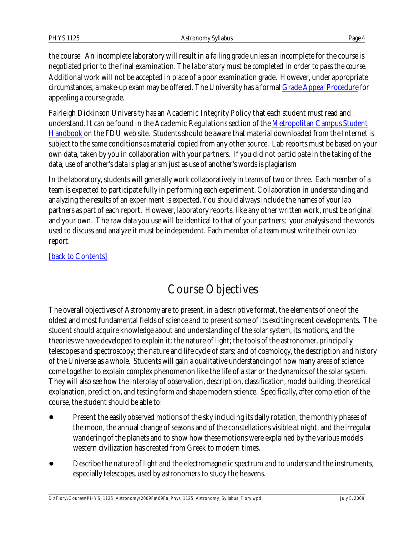the course. An incomplete laboratory will result in a failing grade unless an incomplete for the course is negotiated prior to the final examination. *The laboratory must be completed in order to pass the course.* Additional work will not be accepted in place of a poor examination grade. However, under appropriate circumstances, a make-up exam may be offered. The University has a formal [Grade Appeal Procedure](http://view.fdu.edu/default.aspx?id=212) for appealing a course grade.

Fairleigh Dickinson University has an Academic Integrity Policy that each student must read and understand. It can be found in the Academic Regulations section of the [Metropolitan Campus Student](http://view.fdu.edu/default.aspx?id=6122) [Handbook](http://view.fdu.edu/default.aspx?id=6122) on the FDU web site. Students should be aware that material downloaded from the Internet is subject to the same conditions as material copied from any other source. Lab reports must be based on your own data, taken by you in collaboration with your partners. If you did not participate in the taking of the data, use of another's data is plagiarism just as use of another's words is plagiarism

In the laboratory, students will generally work collaboratively in teams of two or three. Each member of a team is expected to participate fully in performing each experiment. Collaboration in understanding and analyzing the results of an experiment is expected. You should always include the names of your lab partners as part of each report. However, laboratory reports, like any other written work, must be original and your own. The raw data you use will be identical to that of your partners; your analysis and the words used to discuss and analyze it must be independent. Each member of a team must write their own lab report.

#### [\[back to Contents\]](#page-0-1)

## <span id="page-3-0"></span>Course Objectives

The overall objectives of Astronomy are to present, in a descriptive format, the elements of one of the oldest and most fundamental fields of science and to present some of its exciting recent developments. The student should acquire knowledge about and understanding of the solar system, its motions, and the theories we have developed to explain it; the nature of light; the tools of the astronomer, principally telescopes and spectroscopy; the nature and life cycle of stars; and of cosmology, the description and history of the Universe as a whole. Students will gain a qualitative understanding of how many areas of science come together to explain complex phenomenon like the life of a star or the dynamics of the solar system. They will also see how the interplay of observation, description, classification, model building, theoretical explanation, prediction, and testing form and shape modern science. Specifically, after completion of the course, the student should be able to:

- ! Present the easily observed motions of the sky including its daily rotation, the monthly phases of the moon, the annual change of seasons and of the constellations visible at night, and the irregular wandering of the planets and to show how these motions were explained by the various models western civilization has created from Greek to modern times.
- Describe the nature of light and the electromagnetic spectrum and to understand the instruments, especially telescopes, used by astronomers to study the heavens.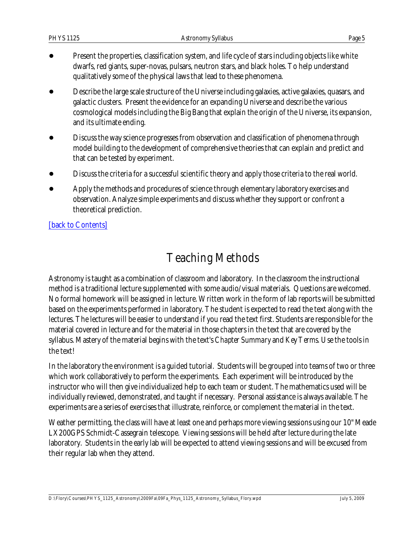- ! Present the properties, classification system, and life cycle of stars including objects like white dwarfs, red giants, super-novas, pulsars, neutron stars, and black holes. To help understand qualitatively some of the physical laws that lead to these phenomena.
- Describe the large scale structure of the Universe including galaxies, active galaxies, quasars, and galactic clusters. Present the evidence for an expanding Universe and describe the various cosmological models including the Big Bang that explain the origin of the Universe, its expansion, and its ultimate ending.
- ! Discuss the way science progresses from observation and classification of phenomena through model building to the development of comprehensive theories that can explain and predict and that can be tested by experiment.
- Discuss the criteria for a successful scientific theory and apply those criteria to the real world.
- Apply the methods and procedures of science through elementary laboratory exercises and observation. Analyze simple experiments and discuss whether they support or confront a theoretical prediction.

#### [\[back to Contents\]](#page-0-1)

## <span id="page-4-0"></span>Teaching Methods

Astronomy is taught as a combination of classroom and laboratory. In the classroom the instructional method is a traditional lecture supplemented with some audio/visual materials. Questions are welcomed. No formal homework will be assigned in lecture. Written work in the form of lab reports will be submitted based on the experiments performed in laboratory. The student is expected to read the text along with the lectures. The lectures will be easier to understand if you read the text first. Students are responsible for the material covered in lecture and for the material in those chapters in the text that are covered by the syllabus. Mastery of the material begins with the text's *Chapter Summary* and *Key Terms.* Use the tools in the text!

In the laboratory the environment is a guided tutorial. Students will be grouped into teams of two or three which work collaboratively to perform the experiments. Each experiment will be introduced by the instructor who will then give individualized help to each team or student. The mathematics used will be individually reviewed, demonstrated, and taught if necessary. Personal assistance is always available. The experiments are a series of exercises that illustrate, reinforce, or complement the material in the text.

Weather permitting, the class will have at least one and perhaps more viewing sessions using our 10" Meade LX200GPS Schmidt-Cassegrain telescope. Viewing sessions will be held after lecture during the late laboratory. Students in the early lab will be expected to attend viewing sessions and will be excused from their regular lab when they attend.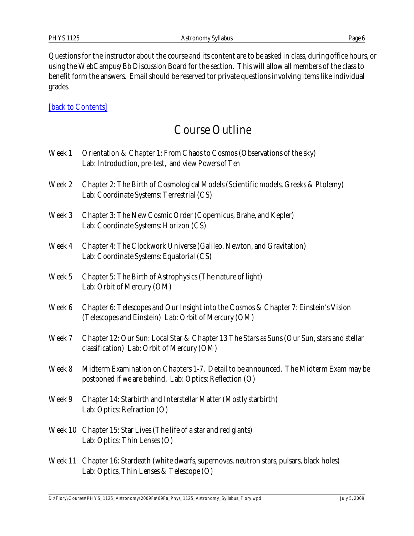Questions for the instructor about the course and its content are to be asked in class, during office hours, or using the WebCampus/Bb Discussion Board for the section. This will allow all members of the class to benefit form the answers. Email should be reserved tor private questions involving items like individual grades.

[\[back to Contents\]](#page-0-1)

#### Course Outline

<span id="page-5-0"></span>

| Week 1 | Orientation & Chapter 1: From Chaos to Cosmos (Observations of the sky)<br>Lab: Introduction, pre-test, and view Powers of Ten                  |
|--------|-------------------------------------------------------------------------------------------------------------------------------------------------|
| Week 2 | Chapter 2: The Birth of Cosmological Models (Scientific models, Greeks & Ptolemy)<br>Lab: Coordinate Systems: Terrestrial (CS)                  |
| Week 3 | Chapter 3: The New Cosmic Order (Copernicus, Brahe, and Kepler)<br>Lab: Coordinate Systems: Horizon (CS)                                        |
| Week 4 | Chapter 4: The Clockwork Universe (Galileo, Newton, and Gravitation)<br>Lab: Coordinate Systems: Equatorial (CS)                                |
| Week 5 | Chapter 5: The Birth of Astrophysics (The nature of light)<br>Lab: Orbit of Mercury (OM)                                                        |
| Week 6 | Chapter 6: Telescopes and Our Insight into the Cosmos & Chapter 7: Einstein's Vision<br>(Telescopes and Einstein) Lab: Orbit of Mercury (OM)    |
| Week 7 | Chapter 12: Our Sun: Local Star & Chapter 13 The Stars as Suns (Our Sun, stars and stellar<br>classification) Lab: Orbit of Mercury (OM)        |
| Week 8 | Midterm Examination on Chapters 1-7. Detail to be announced. The Midterm Exam may be<br>postponed if we are behind. Lab: Optics: Reflection (O) |
| Week 9 | Chapter 14: Starbirth and Interstellar Matter (Mostly starbirth)<br>Lab: Optics: Refraction (O)                                                 |
|        | Week 10 Chapter 15: Star Lives (The life of a star and red giants)<br>Lab: Optics: Thin Lenses (O)                                              |
|        | Week 11 Chapter 16: Stardeath (white dwarfs, supernovas, neutron stars, pulsars, black holes)                                                   |

Lab: Optics, Thin Lenses & Telescope (O)

D:\Flory\Courses\PHYS\_1125\_Astronomy\2009Fa\09Fa\_Phys\_1125\_Astronomy\_Syllabus\_Flory.wpd July 5, 2009